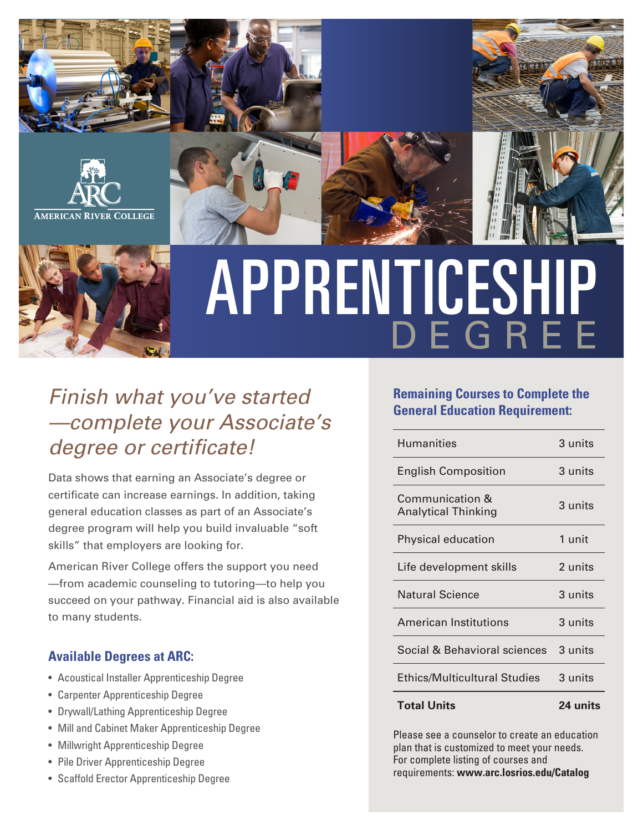



# APPRENTICESHIP DEGREE

## Finish what you've started —complete your Associate's degree or certificate!

Data shows that earning an Associate's degree or certificate can increase earnings. In addition, taking general education classes as part of an Associate's degree program will help you build invaluable "soft skills" that employers are looking for.

American River College offers the support you need —from academic counseling to tutoring—to help you succeed on your pathway. Financial aid is also available to many students.

#### **Available Degrees at ARC:**

- Acoustical Installer Apprenticeship Degree
- Carpenter Apprenticeship Degree
- Drywall/Lathing Apprenticeship Degree
- Mill and Cabinet Maker Apprenticeship Degree
- Millwright Apprenticeship Degree
- Pile Driver Apprenticeship Degree
- Scaffold Erector Apprenticeship Degree

#### **Remaining Courses to Complete the General Education Requirement:**

| <b>Total Units</b>                            | 24 units |
|-----------------------------------------------|----------|
| <b>Ethics/Multicultural Studies</b>           | 3 units  |
| Social & Behavioral sciences                  | 3 units  |
| <b>American Institutions</b>                  | 3 units  |
| <b>Natural Science</b>                        | 3 units  |
| Life development skills                       | 2 units  |
| Physical education                            | 1 unit   |
| Communication &<br><b>Analytical Thinking</b> | 3 units  |
| <b>English Composition</b>                    | 3 units  |
| <b>Humanities</b>                             | 3 units  |

Please see a counselor to create an education plan that is customized to meet your needs. For complete listing of courses and requirements: **www.arc.losrios.edu/Catalog**